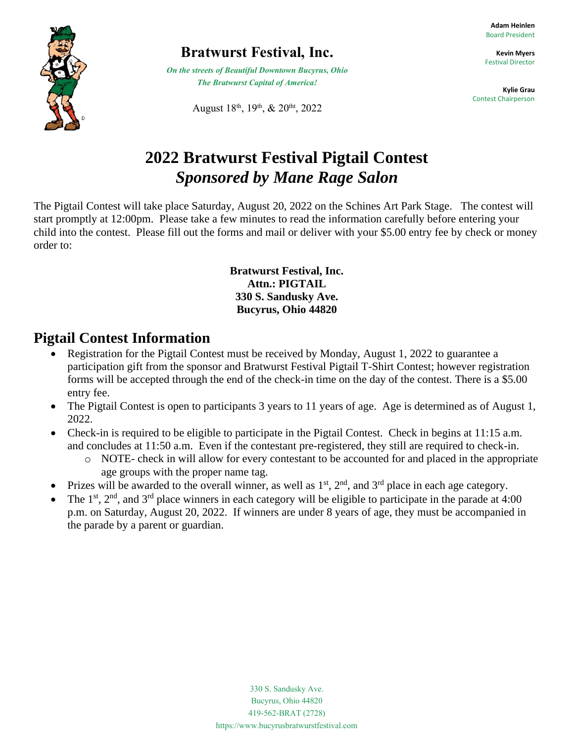

### **Bratwurst Festival, Inc.**

*On the streets of Beautiful Downtown Bucyrus, Ohio The Bratwurst Capital of America!*

August 18<sup>th</sup>, 19<sup>th</sup>, & 20<sup>tht</sup>, 2022

**Adam Heinlen** Board President

**Kevin Myers** Festival Director

**Kylie Grau** Contest Chairperson

## **2022 Bratwurst Festival Pigtail Contest** *Sponsored by Mane Rage Salon*

The Pigtail Contest will take place Saturday, August 20, 2022 on the Schines Art Park Stage. The contest will start promptly at 12:00pm. Please take a few minutes to read the information carefully before entering your child into the contest. Please fill out the forms and mail or deliver with your \$5.00 entry fee by check or money order to:

#### **Bratwurst Festival, Inc. Attn.: PIGTAIL 330 S. Sandusky Ave. Bucyrus, Ohio 44820**

#### **Pigtail Contest Information**

- Registration for the Pigtail Contest must be received by Monday, August 1, 2022 to guarantee a participation gift from the sponsor and Bratwurst Festival Pigtail T-Shirt Contest; however registration forms will be accepted through the end of the check-in time on the day of the contest. There is a \$5.00 entry fee.
- The Pigtail Contest is open to participants 3 years to 11 years of age. Age is determined as of August 1, 2022.
- Check-in is required to be eligible to participate in the Pigtail Contest. Check in begins at 11:15 a.m. and concludes at 11:50 a.m. Even if the contestant pre-registered, they still are required to check-in.
	- o NOTE- check in will allow for every contestant to be accounted for and placed in the appropriate age groups with the proper name tag.
- Prizes will be awarded to the overall winner, as well as  $1<sup>st</sup>$ ,  $2<sup>nd</sup>$ , and  $3<sup>rd</sup>$  place in each age category.
- The 1<sup>st</sup>, 2<sup>nd</sup>, and 3<sup>rd</sup> place winners in each category will be eligible to participate in the parade at 4:00 p.m. on Saturday, August 20, 2022. If winners are under 8 years of age, they must be accompanied in the parade by a parent or guardian.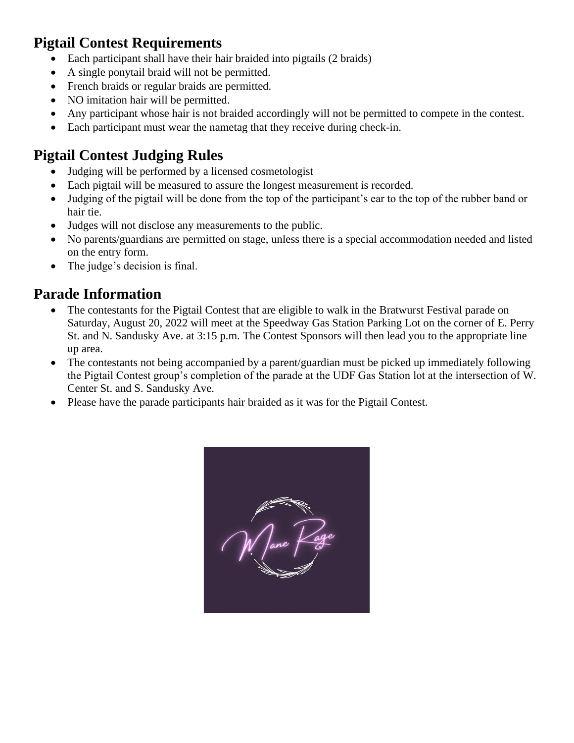#### **Pigtail Contest Requirements**

- Each participant shall have their hair braided into pigtails (2 braids)
- A single ponytail braid will not be permitted.
- French braids or regular braids are permitted.
- NO imitation hair will be permitted.
- Any participant whose hair is not braided accordingly will not be permitted to compete in the contest.
- Each participant must wear the nametag that they receive during check-in.

### **Pigtail Contest Judging Rules**

- Judging will be performed by a licensed cosmetologist
- Each pigtail will be measured to assure the longest measurement is recorded.
- Judging of the pigtail will be done from the top of the participant's ear to the top of the rubber band or hair tie.
- Judges will not disclose any measurements to the public.
- No parents/guardians are permitted on stage, unless there is a special accommodation needed and listed on the entry form.
- The judge's decision is final.

#### **Parade Information**

- The contestants for the Pigtail Contest that are eligible to walk in the Bratwurst Festival parade on Saturday, August 20, 2022 will meet at the Speedway Gas Station Parking Lot on the corner of E. Perry St. and N. Sandusky Ave. at 3:15 p.m. The Contest Sponsors will then lead you to the appropriate line up area.
- The contestants not being accompanied by a parent/guardian must be picked up immediately following the Pigtail Contest group's completion of the parade at the UDF Gas Station lot at the intersection of W. Center St. and S. Sandusky Ave.
- Please have the parade participants hair braided as it was for the Pigtail Contest.